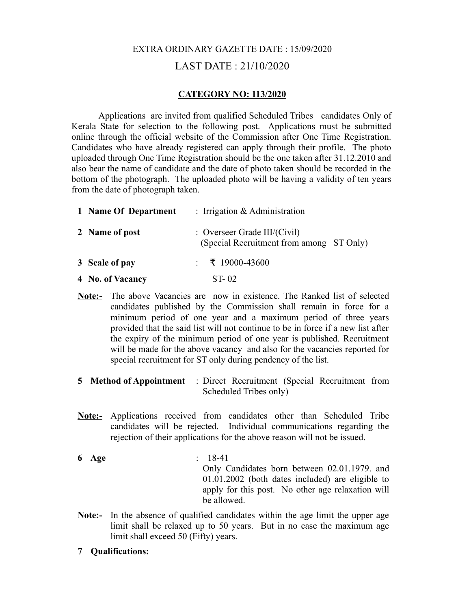## EXTRA ORDINARY GAZETTE DATE : 15/09/2020 LAST DATE : 21/10/2020

## **CATEGORY NO: 113/2020**

Applications are invited from qualified Scheduled Tribes candidates Only of Kerala State for selection to the following post. Applications must be submitted online through the official website of the Commission after One Time Registration. Candidates who have already registered can apply through their profile. The photo uploaded through One Time Registration should be the one taken after 31.12.2010 and also bear the name of candidate and the date of photo taken should be recorded in the bottom of the photograph. The uploaded photo will be having a validity of ten years from the date of photograph taken.

| 1 Name Of Department | : Irrigation $&$ Administration                                             |
|----------------------|-----------------------------------------------------------------------------|
| 2 Name of post       | : Overseer Grade III/ $(Civil)$<br>(Special Recruitment from among ST Only) |
| 3 Scale of pay       | $\div$ ₹ 19000-43600                                                        |

- **4 No. of Vacancy** ST- 02
- **Note:-** The above Vacancies are now in existence. The Ranked list of selected candidates published by the Commission shall remain in force for a minimum period of one year and a maximum period of three years provided that the said list will not continue to be in force if a new list after the expiry of the minimum period of one year is published. Recruitment will be made for the above vacancy and also for the vacancies reported for special recruitment for ST only during pendency of the list.
- **5 Method of Appointment** : Direct Recruitment (Special Recruitment from Scheduled Tribes only)
- **Note:-** Applications received from candidates other than Scheduled Tribe candidates will be rejected. Individual communications regarding the rejection of their applications for the above reason will not be issued.
- **6 Age** : 18-41 Only Candidates born between 02.01.1979. and 01.01.2002 (both dates included) are eligible to apply for this post. No other age relaxation will be allowed.
- **<u>Note:-</u>** In the absence of qualified candidates within the age limit the upper age limit shall be relaxed up to 50 years. But in no case the maximum age limit shall exceed 50 (Fifty) years.
- **7 Qualifications:**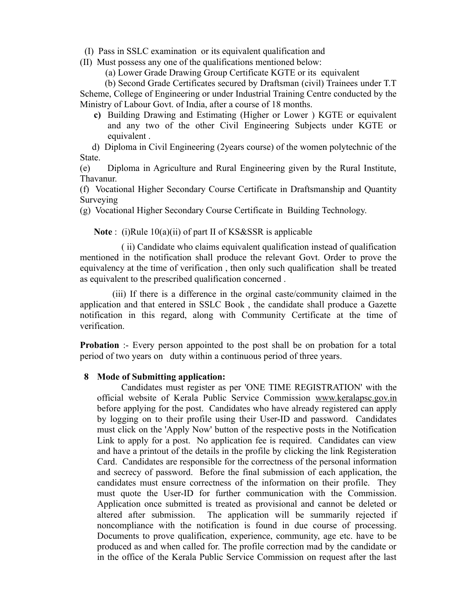(I) Pass in SSLC examination or its equivalent qualification and

(II) Must possess any one of the qualifications mentioned below:

(a) Lower Grade Drawing Group Certificate KGTE or its equivalent

 (b) Second Grade Certificates secured by Draftsman (civil) Trainees under T.T Scheme, College of Engineering or under Industrial Training Centre conducted by the Ministry of Labour Govt. of India, after a course of 18 months.

**c)** Building Drawing and Estimating (Higher or Lower ) KGTE or equivalent and any two of the other Civil Engineering Subjects under KGTE or equivalent .

 d) Diploma in Civil Engineering (2years course) of the women polytechnic of the State.

(e) Diploma in Agriculture and Rural Engineering given by the Rural Institute, Thavanur.

(f) Vocational Higher Secondary Course Certificate in Draftsmanship and Quantity **Surveying** 

(g) Vocational Higher Secondary Course Certificate in Building Technology.

 **Note** : (i)Rule 10(a)(ii) of part II of KS&SSR is applicable

 ( ii) Candidate who claims equivalent qualification instead of qualification mentioned in the notification shall produce the relevant Govt. Order to prove the equivalency at the time of verification , then only such qualification shall be treated as equivalent to the prescribed qualification concerned .

 (iii) If there is a difference in the orginal caste/community claimed in the application and that entered in SSLC Book , the candidate shall produce a Gazette notification in this regard, along with Community Certificate at the time of verification.

**Probation** :- Every person appointed to the post shall be on probation for a total period of two years on duty within a continuous period of three years.

## **8 Mode of Submitting application:**

 Candidates must register as per 'ONE TIME REGISTRATION' with the official website of Kerala Public Service Commission [www.keralapsc.gov.in](http://www.keralapsc.gov.in/) before applying for the post. Candidates who have already registered can apply by logging on to their profile using their User-ID and password. Candidates must click on the 'Apply Now' button of the respective posts in the Notification Link to apply for a post. No application fee is required. Candidates can view and have a printout of the details in the profile by clicking the link Registeration Card. Candidates are responsible for the correctness of the personal information and secrecy of password. Before the final submission of each application, the candidates must ensure correctness of the information on their profile. They must quote the User-ID for further communication with the Commission. Application once submitted is treated as provisional and cannot be deleted or altered after submission. The application will be summarily rejected if noncompliance with the notification is found in due course of processing. Documents to prove qualification, experience, community, age etc. have to be produced as and when called for. The profile correction mad by the candidate or in the office of the Kerala Public Service Commission on request after the last